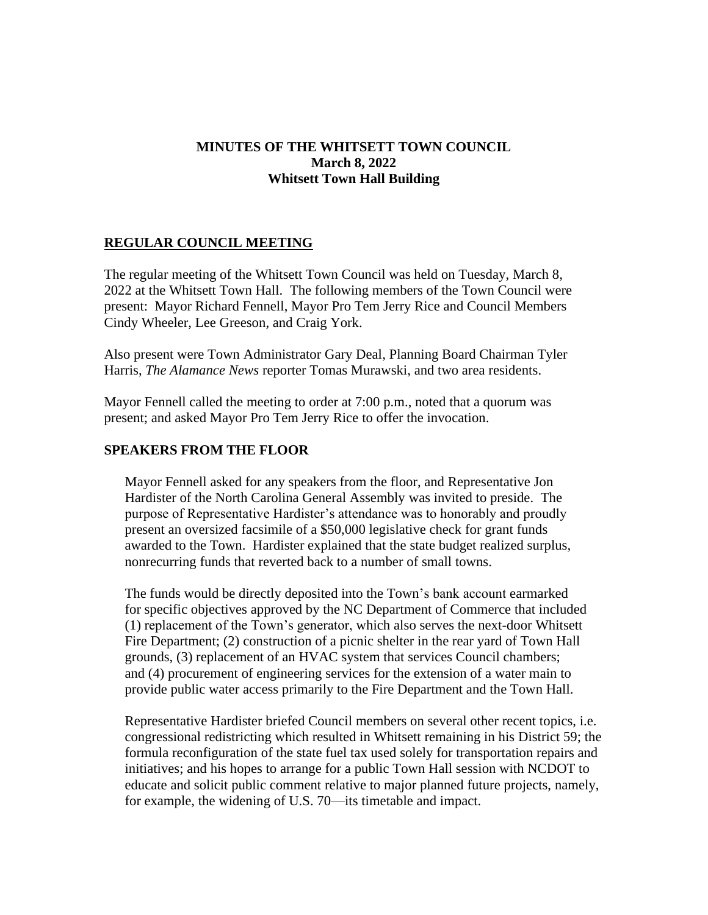# **MINUTES OF THE WHITSETT TOWN COUNCIL March 8, 2022 Whitsett Town Hall Building**

# **REGULAR COUNCIL MEETING**

The regular meeting of the Whitsett Town Council was held on Tuesday, March 8, 2022 at the Whitsett Town Hall. The following members of the Town Council were present: Mayor Richard Fennell, Mayor Pro Tem Jerry Rice and Council Members Cindy Wheeler, Lee Greeson, and Craig York.

Also present were Town Administrator Gary Deal, Planning Board Chairman Tyler Harris, *The Alamance News* reporter Tomas Murawski, and two area residents.

Mayor Fennell called the meeting to order at 7:00 p.m., noted that a quorum was present; and asked Mayor Pro Tem Jerry Rice to offer the invocation.

#### **SPEAKERS FROM THE FLOOR**

Mayor Fennell asked for any speakers from the floor, and Representative Jon Hardister of the North Carolina General Assembly was invited to preside. The purpose of Representative Hardister's attendance was to honorably and proudly present an oversized facsimile of a \$50,000 legislative check for grant funds awarded to the Town. Hardister explained that the state budget realized surplus, nonrecurring funds that reverted back to a number of small towns.

The funds would be directly deposited into the Town's bank account earmarked for specific objectives approved by the NC Department of Commerce that included (1) replacement of the Town's generator, which also serves the next-door Whitsett Fire Department; (2) construction of a picnic shelter in the rear yard of Town Hall grounds, (3) replacement of an HVAC system that services Council chambers; and (4) procurement of engineering services for the extension of a water main to provide public water access primarily to the Fire Department and the Town Hall.

Representative Hardister briefed Council members on several other recent topics, i.e. congressional redistricting which resulted in Whitsett remaining in his District 59; the formula reconfiguration of the state fuel tax used solely for transportation repairs and initiatives; and his hopes to arrange for a public Town Hall session with NCDOT to educate and solicit public comment relative to major planned future projects, namely, for example, the widening of U.S. 70—its timetable and impact.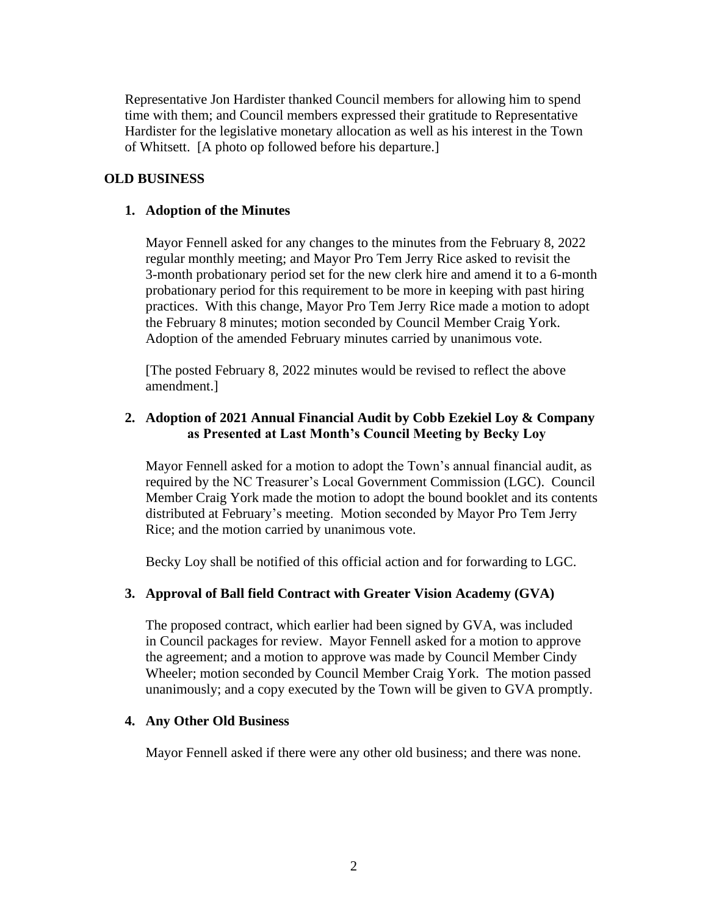Representative Jon Hardister thanked Council members for allowing him to spend time with them; and Council members expressed their gratitude to Representative Hardister for the legislative monetary allocation as well as his interest in the Town of Whitsett. [A photo op followed before his departure.]

# **OLD BUSINESS**

## **1. Adoption of the Minutes**

Mayor Fennell asked for any changes to the minutes from the February 8, 2022 regular monthly meeting; and Mayor Pro Tem Jerry Rice asked to revisit the 3-month probationary period set for the new clerk hire and amend it to a 6-month probationary period for this requirement to be more in keeping with past hiring practices. With this change, Mayor Pro Tem Jerry Rice made a motion to adopt the February 8 minutes; motion seconded by Council Member Craig York. Adoption of the amended February minutes carried by unanimous vote.

[The posted February 8, 2022 minutes would be revised to reflect the above amendment.]

## **2. Adoption of 2021 Annual Financial Audit by Cobb Ezekiel Loy & Company as Presented at Last Month's Council Meeting by Becky Loy**

Mayor Fennell asked for a motion to adopt the Town's annual financial audit, as required by the NC Treasurer's Local Government Commission (LGC). Council Member Craig York made the motion to adopt the bound booklet and its contents distributed at February's meeting. Motion seconded by Mayor Pro Tem Jerry Rice; and the motion carried by unanimous vote.

Becky Loy shall be notified of this official action and for forwarding to LGC.

### **3. Approval of Ball field Contract with Greater Vision Academy (GVA)**

The proposed contract, which earlier had been signed by GVA, was included in Council packages for review. Mayor Fennell asked for a motion to approve the agreement; and a motion to approve was made by Council Member Cindy Wheeler; motion seconded by Council Member Craig York. The motion passed unanimously; and a copy executed by the Town will be given to GVA promptly.

### **4. Any Other Old Business**

Mayor Fennell asked if there were any other old business; and there was none.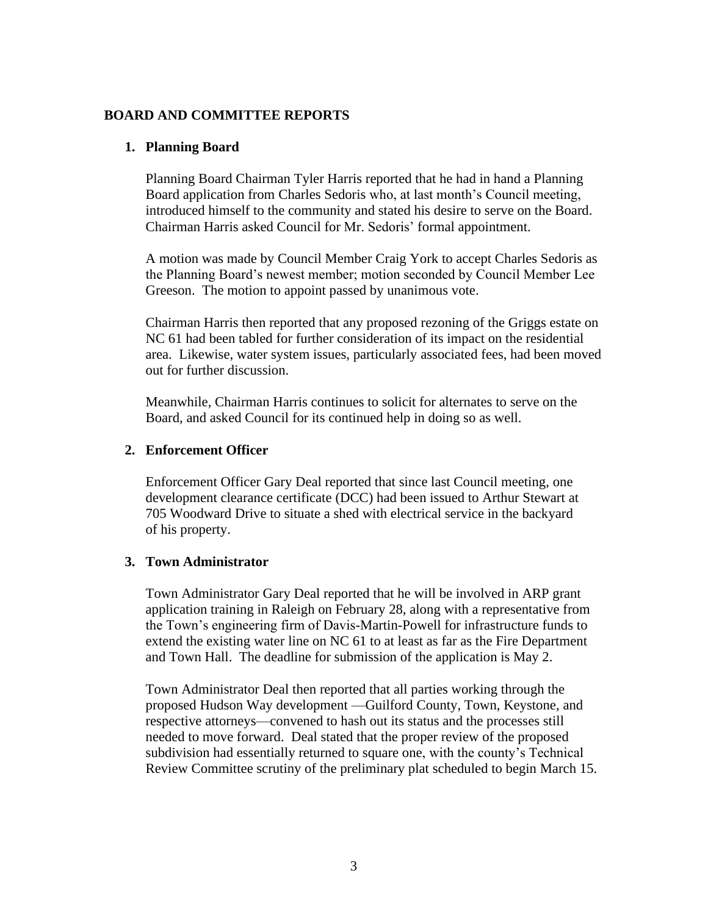## **BOARD AND COMMITTEE REPORTS**

#### **1. Planning Board**

Planning Board Chairman Tyler Harris reported that he had in hand a Planning Board application from Charles Sedoris who, at last month's Council meeting, introduced himself to the community and stated his desire to serve on the Board. Chairman Harris asked Council for Mr. Sedoris' formal appointment.

A motion was made by Council Member Craig York to accept Charles Sedoris as the Planning Board's newest member; motion seconded by Council Member Lee Greeson. The motion to appoint passed by unanimous vote.

Chairman Harris then reported that any proposed rezoning of the Griggs estate on NC 61 had been tabled for further consideration of its impact on the residential area. Likewise, water system issues, particularly associated fees, had been moved out for further discussion.

Meanwhile, Chairman Harris continues to solicit for alternates to serve on the Board, and asked Council for its continued help in doing so as well.

#### **2. Enforcement Officer**

Enforcement Officer Gary Deal reported that since last Council meeting, one development clearance certificate (DCC) had been issued to Arthur Stewart at 705 Woodward Drive to situate a shed with electrical service in the backyard of his property.

#### **3. Town Administrator**

Town Administrator Gary Deal reported that he will be involved in ARP grant application training in Raleigh on February 28, along with a representative from the Town's engineering firm of Davis-Martin-Powell for infrastructure funds to extend the existing water line on NC 61 to at least as far as the Fire Department and Town Hall. The deadline for submission of the application is May 2.

Town Administrator Deal then reported that all parties working through the proposed Hudson Way development —Guilford County, Town, Keystone, and respective attorneys—convened to hash out its status and the processes still needed to move forward. Deal stated that the proper review of the proposed subdivision had essentially returned to square one, with the county's Technical Review Committee scrutiny of the preliminary plat scheduled to begin March 15.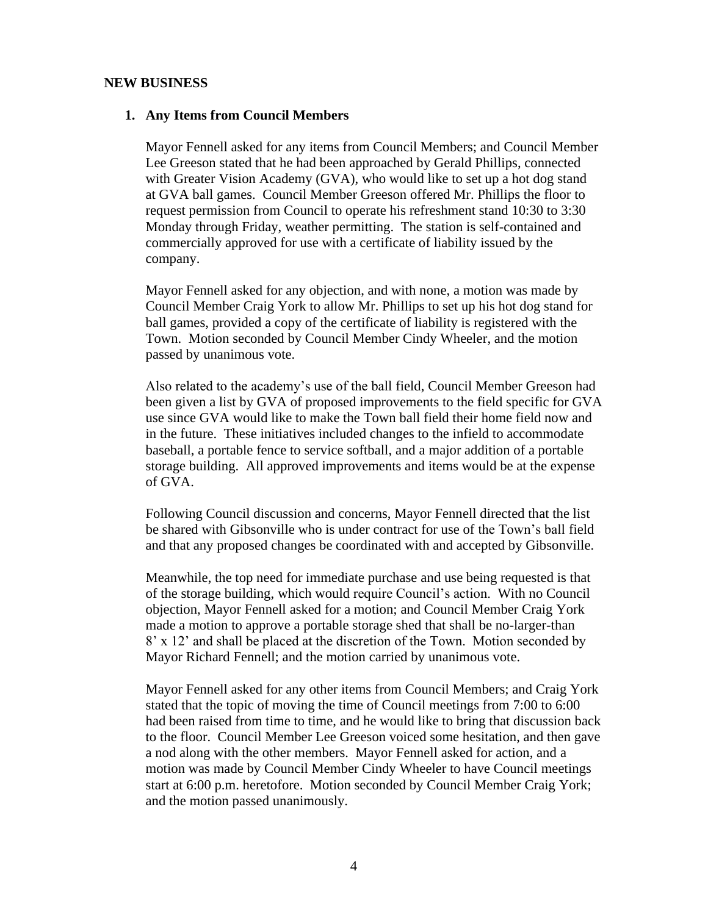#### **NEW BUSINESS**

#### **1. Any Items from Council Members**

Mayor Fennell asked for any items from Council Members; and Council Member Lee Greeson stated that he had been approached by Gerald Phillips, connected with Greater Vision Academy (GVA), who would like to set up a hot dog stand at GVA ball games. Council Member Greeson offered Mr. Phillips the floor to request permission from Council to operate his refreshment stand 10:30 to 3:30 Monday through Friday, weather permitting. The station is self-contained and commercially approved for use with a certificate of liability issued by the company.

Mayor Fennell asked for any objection, and with none, a motion was made by Council Member Craig York to allow Mr. Phillips to set up his hot dog stand for ball games, provided a copy of the certificate of liability is registered with the Town. Motion seconded by Council Member Cindy Wheeler, and the motion passed by unanimous vote.

Also related to the academy's use of the ball field, Council Member Greeson had been given a list by GVA of proposed improvements to the field specific for GVA use since GVA would like to make the Town ball field their home field now and in the future. These initiatives included changes to the infield to accommodate baseball, a portable fence to service softball, and a major addition of a portable storage building. All approved improvements and items would be at the expense of GVA.

Following Council discussion and concerns, Mayor Fennell directed that the list be shared with Gibsonville who is under contract for use of the Town's ball field and that any proposed changes be coordinated with and accepted by Gibsonville.

Meanwhile, the top need for immediate purchase and use being requested is that of the storage building, which would require Council's action. With no Council objection, Mayor Fennell asked for a motion; and Council Member Craig York made a motion to approve a portable storage shed that shall be no-larger-than 8' x 12' and shall be placed at the discretion of the Town. Motion seconded by Mayor Richard Fennell; and the motion carried by unanimous vote.

Mayor Fennell asked for any other items from Council Members; and Craig York stated that the topic of moving the time of Council meetings from 7:00 to 6:00 had been raised from time to time, and he would like to bring that discussion back to the floor. Council Member Lee Greeson voiced some hesitation, and then gave a nod along with the other members. Mayor Fennell asked for action, and a motion was made by Council Member Cindy Wheeler to have Council meetings start at 6:00 p.m. heretofore. Motion seconded by Council Member Craig York; and the motion passed unanimously.